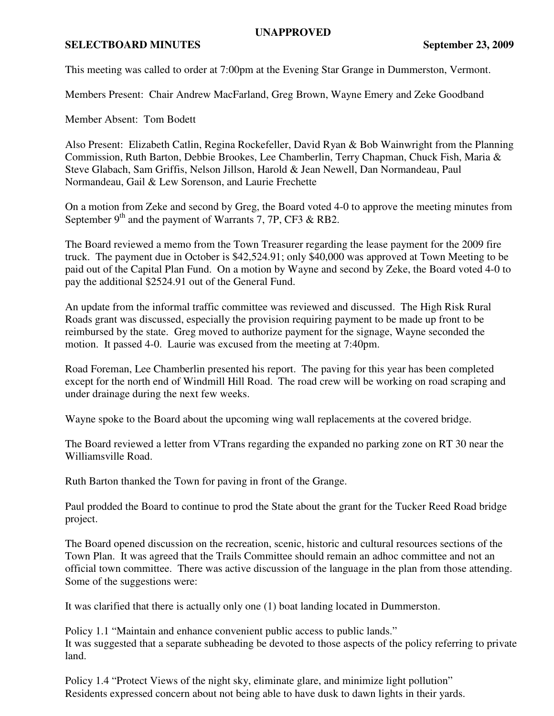## **UNAPPROVED**

## **SELECTBOARD MINUTES** September 23, 2009

This meeting was called to order at 7:00pm at the Evening Star Grange in Dummerston, Vermont.

Members Present: Chair Andrew MacFarland, Greg Brown, Wayne Emery and Zeke Goodband

Member Absent: Tom Bodett

Also Present: Elizabeth Catlin, Regina Rockefeller, David Ryan & Bob Wainwright from the Planning Commission, Ruth Barton, Debbie Brookes, Lee Chamberlin, Terry Chapman, Chuck Fish, Maria & Steve Glabach, Sam Griffis, Nelson Jillson, Harold & Jean Newell, Dan Normandeau, Paul Normandeau, Gail & Lew Sorenson, and Laurie Frechette

On a motion from Zeke and second by Greg, the Board voted 4-0 to approve the meeting minutes from September  $9<sup>th</sup>$  and the payment of Warrants 7, 7P, CF3 & RB2.

The Board reviewed a memo from the Town Treasurer regarding the lease payment for the 2009 fire truck. The payment due in October is \$42,524.91; only \$40,000 was approved at Town Meeting to be paid out of the Capital Plan Fund. On a motion by Wayne and second by Zeke, the Board voted 4-0 to pay the additional \$2524.91 out of the General Fund.

An update from the informal traffic committee was reviewed and discussed. The High Risk Rural Roads grant was discussed, especially the provision requiring payment to be made up front to be reimbursed by the state. Greg moved to authorize payment for the signage, Wayne seconded the motion. It passed 4-0. Laurie was excused from the meeting at 7:40pm.

Road Foreman, Lee Chamberlin presented his report. The paving for this year has been completed except for the north end of Windmill Hill Road. The road crew will be working on road scraping and under drainage during the next few weeks.

Wayne spoke to the Board about the upcoming wing wall replacements at the covered bridge.

The Board reviewed a letter from VTrans regarding the expanded no parking zone on RT 30 near the Williamsville Road.

Ruth Barton thanked the Town for paving in front of the Grange.

Paul prodded the Board to continue to prod the State about the grant for the Tucker Reed Road bridge project.

The Board opened discussion on the recreation, scenic, historic and cultural resources sections of the Town Plan. It was agreed that the Trails Committee should remain an adhoc committee and not an official town committee. There was active discussion of the language in the plan from those attending. Some of the suggestions were:

It was clarified that there is actually only one (1) boat landing located in Dummerston.

Policy 1.1 "Maintain and enhance convenient public access to public lands." It was suggested that a separate subheading be devoted to those aspects of the policy referring to private land.

Policy 1.4 "Protect Views of the night sky, eliminate glare, and minimize light pollution" Residents expressed concern about not being able to have dusk to dawn lights in their yards.